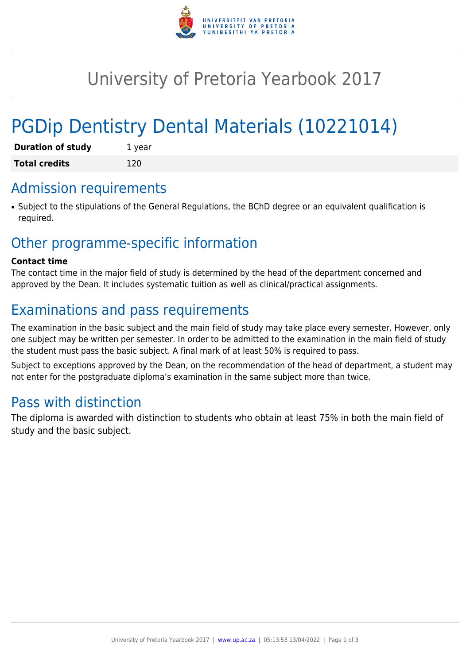

# University of Pretoria Yearbook 2017

# PGDip Dentistry Dental Materials (10221014)

| <b>Duration of study</b> | 1 year |
|--------------------------|--------|
| <b>Total credits</b>     | 120    |

# Admission requirements

• Subject to the stipulations of the General Regulations, the BChD degree or an equivalent qualification is required.

# Other programme-specific information

#### **Contact time**

The contact time in the major field of study is determined by the head of the department concerned and approved by the Dean. It includes systematic tuition as well as clinical/practical assignments.

# Examinations and pass requirements

The examination in the basic subject and the main field of study may take place every semester. However, only one subject may be written per semester. In order to be admitted to the examination in the main field of study the student must pass the basic subject. A final mark of at least 50% is required to pass.

Subject to exceptions approved by the Dean, on the recommendation of the head of department, a student may not enter for the postgraduate diploma's examination in the same subject more than twice.

# Pass with distinction

The diploma is awarded with distinction to students who obtain at least 75% in both the main field of study and the basic subject.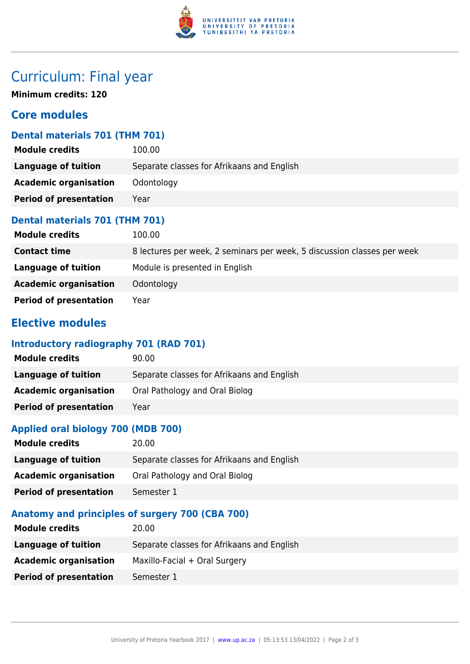

# Curriculum: Final year

**Minimum credits: 120**

## **Core modules**

## **Dental materials 701 (THM 701)**

| 100.00                                     |
|--------------------------------------------|
| Separate classes for Afrikaans and English |
| Odontology                                 |
| Year                                       |
|                                            |

### **Dental materials 701 (THM 701)**

| <b>Module credits</b>         | 100.00                                                                  |
|-------------------------------|-------------------------------------------------------------------------|
| <b>Contact time</b>           | 8 lectures per week, 2 seminars per week, 5 discussion classes per week |
| Language of tuition           | Module is presented in English                                          |
| <b>Academic organisation</b>  | Odontology                                                              |
| <b>Period of presentation</b> | Year                                                                    |

## **Elective modules**

## **Introductory radiography 701 (RAD 701)**

| <b>Module credits</b>         | 90.00                                      |
|-------------------------------|--------------------------------------------|
| Language of tuition           | Separate classes for Afrikaans and English |
| <b>Academic organisation</b>  | Oral Pathology and Oral Biolog             |
| <b>Period of presentation</b> | Year                                       |

## **Applied oral biology 700 (MDB 700)**

| <b>Module credits</b>         | 20.00                                      |
|-------------------------------|--------------------------------------------|
| Language of tuition           | Separate classes for Afrikaans and English |
| <b>Academic organisation</b>  | Oral Pathology and Oral Biolog             |
| <b>Period of presentation</b> | Semester 1                                 |

### **Anatomy and principles of surgery 700 (CBA 700)**

| <b>Module credits</b>         | 20.00                                      |
|-------------------------------|--------------------------------------------|
| Language of tuition           | Separate classes for Afrikaans and English |
| <b>Academic organisation</b>  | Maxillo-Facial + Oral Surgery              |
| <b>Period of presentation</b> | Semester 1                                 |